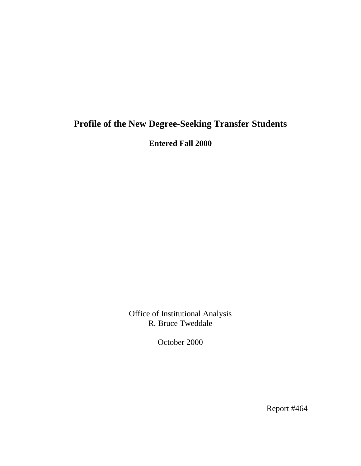# **Profile of the New Degree-Seeking Transfer Students**

**Entered Fall 2000** 

Office of Institutional Analysis R. Bruce Tweddale

October 2000

Report #464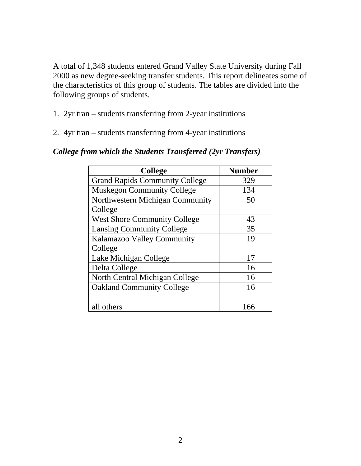A total of 1,348 students entered Grand Valley State University during Fall 2000 as new degree-seeking transfer students. This report delineates some of the characteristics of this group of students. The tables are divided into the following groups of students.

- 1. 2yr tran students transferring from 2-year institutions
- 2. 4yr tran students transferring from 4-year institutions

| <b>College</b>                        | <b>Number</b> |
|---------------------------------------|---------------|
| <b>Grand Rapids Community College</b> | 329           |
| <b>Muskegon Community College</b>     | 134           |
| Northwestern Michigan Community       | 50            |
| College                               |               |
| <b>West Shore Community College</b>   | 43            |
| <b>Lansing Community College</b>      | 35            |
| Kalamazoo Valley Community            | 19            |
| College                               |               |
| Lake Michigan College                 | 17            |
| Delta College                         | 16            |
| North Central Michigan College        | 16            |
| <b>Oakland Community College</b>      | 16            |
|                                       |               |
| all others                            | 166           |

#### *College from which the Students Transferred (2yr Transfers)*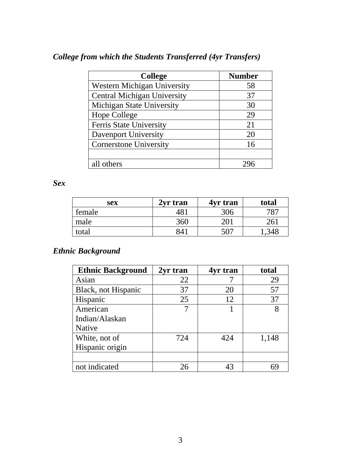| <b>College from which the Students Transferred (4yr Transfers)</b> |  |  |  |
|--------------------------------------------------------------------|--|--|--|
|--------------------------------------------------------------------|--|--|--|

| <b>College</b>                     | <b>Number</b> |
|------------------------------------|---------------|
| Western Michigan University        | 58            |
| <b>Central Michigan University</b> | 37            |
| Michigan State University          | 30            |
| Hope College                       | 29            |
| Ferris State University            | 21            |
| <b>Davenport University</b>        | 20            |
| <b>Cornerstone University</b>      | 16            |
|                                    |               |
| all others                         |               |

*Sex* 

| sex    | 2yr tran | 4yr tran | total |
|--------|----------|----------|-------|
| female | 48.      | 306      | 787   |
| male   | 360      | 201      | 261   |
| total  | 841      | 507      |       |

# *Ethnic Background*

| <b>Ethnic Background</b> | 2yr tran | 4yr tran | total |
|--------------------------|----------|----------|-------|
| Asian                    | 22       |          | 29    |
| Black, not Hispanic      | 37       | 20       | 57    |
| Hispanic                 | 25       | 12       | 37    |
| American                 |          |          |       |
| Indian/Alaskan           |          |          |       |
| <b>Native</b>            |          |          |       |
| White, not of            | 724      | 424      | 1,148 |
| Hispanic origin          |          |          |       |
|                          |          |          |       |
| not indicated            | 26       | 43       | 69    |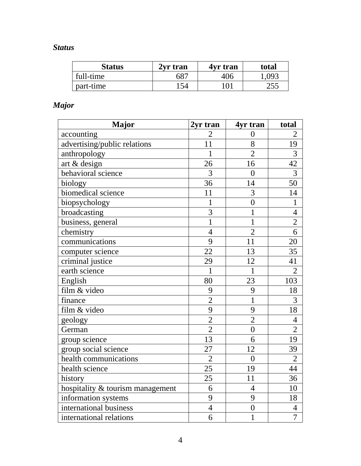# *Status*

| <b>Status</b> | 2vr tran | 4yr tran | total |
|---------------|----------|----------|-------|
| full-time     | 687      | 406      | 1,093 |
| part-time     | 54       | 101      | 255   |

# *Major*

| <b>Major</b>                     | 2yr tran        | 4yr tran       | total          |
|----------------------------------|-----------------|----------------|----------------|
| accounting                       | $\overline{2}$  | $\overline{0}$ | $\overline{2}$ |
| advertising/public relations     | 11              | 8              | 19             |
| anthropology                     | $\mathbf{1}$    | $\overline{2}$ | $\overline{3}$ |
| art & design                     | 26              | 16             | 42             |
| behavioral science               | $\overline{3}$  | $\overline{0}$ | $\overline{3}$ |
| biology                          | 36              | 14             | 50             |
| biomedical science               | 11              | $\overline{3}$ | 14             |
| biopsychology                    | $\mathbf{1}$    | $\overline{0}$ | $\mathbf{1}$   |
| broadcasting                     | $\overline{3}$  | $\mathbf{1}$   | $\overline{4}$ |
| business, general                | $\overline{1}$  | $\mathbf 1$    | $\overline{2}$ |
| chemistry                        | $\overline{4}$  | $\overline{2}$ | 6              |
| communications                   | 9               | 11             | 20             |
| computer science                 | 22              | 13             | 35             |
| criminal justice                 | 29              | 12             | 41             |
| earth science                    | $\mathbf{1}$    | $\mathbf{1}$   | $\overline{2}$ |
| English                          | 80              | 23             | 103            |
| film & video                     | 9               | 9              | 18             |
| finance                          | $\overline{2}$  | $\overline{1}$ | $\overline{3}$ |
| film & video                     | 9               | 9              | 18             |
| geology                          | $\overline{2}$  | $\overline{2}$ | $\overline{4}$ |
| German                           | $\overline{2}$  | $\overline{0}$ | $\overline{2}$ |
| group science                    | 13              | 6              | 19             |
| group social science             | 27              | 12             | 39             |
| health communications            | $\overline{2}$  | $\overline{0}$ | $\overline{2}$ |
| health science                   | $\overline{25}$ | 19             | 44             |
| history                          | 25              | 11             | 36             |
| hospitality & tourism management | 6               | $\overline{4}$ | 10             |
| information systems              | 9               | 9              | 18             |
| international business           | $\overline{4}$  | $\overline{0}$ | $\overline{4}$ |
| international relations          | 6               | 1              | $\overline{7}$ |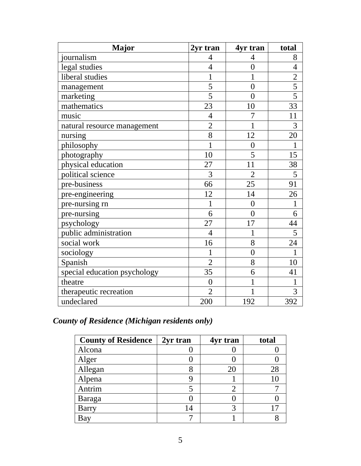| <b>Major</b>                 | 2yr tran       | 4yr tran         | total           |
|------------------------------|----------------|------------------|-----------------|
| journalism                   | $\overline{4}$ | 4                | 8               |
| legal studies                | $\overline{4}$ | $\overline{0}$   | $\overline{4}$  |
| liberal studies              | $\mathbf{1}$   | $\mathbf{1}$     | $\overline{2}$  |
| management                   | 5              | $\overline{0}$   | $\overline{5}$  |
| marketing                    | $\overline{5}$ | $\theta$         | $\overline{5}$  |
| mathematics                  | 23             | 10               | $\overline{33}$ |
| music                        | $\overline{4}$ | 7                | 11              |
| natural resource management  | $\overline{2}$ | $\mathbf{1}$     | 3               |
| nursing                      | 8              | 12               | 20              |
| philosophy                   | $\overline{1}$ | $\boldsymbol{0}$ | 1               |
| photography                  | 10             | 5                | 15              |
| physical education           | 27             | 11               | 38              |
| political science            | 3              | $\overline{2}$   | 5               |
| pre-business                 | 66             | 25               | 91              |
| pre-engineering              | 12             | 14               | 26              |
| pre-nursing rn               | 1              | $\overline{0}$   | $\mathbf 1$     |
| pre-nursing                  | 6              | $\theta$         | 6               |
| psychology                   | 27             | 17               | 44              |
| public administration        | $\overline{4}$ | 1                | 5               |
| social work                  | 16             | 8                | 24              |
| sociology                    | 1              | $\overline{0}$   | 1               |
| Spanish                      | $\overline{2}$ | 8                | 10              |
| special education psychology | 35             | 6                | 41              |
| theatre                      | $\overline{0}$ | 1                | $\mathbf{1}$    |
| therapeutic recreation       | $\overline{2}$ | 1                | 3               |
| undeclared                   | 200            | 192              | 392             |

*County of Residence (Michigan residents only)* 

| <b>County of Residence</b> | 2yr tran | 4yr tran | total |
|----------------------------|----------|----------|-------|
| Alcona                     |          |          |       |
| Alger                      |          |          |       |
| Allegan                    |          | 20       | 28    |
| Alpena                     |          |          |       |
| Antrim                     |          |          |       |
| Baraga                     |          |          |       |
| <b>Barry</b>               | 14       |          |       |
| Bay                        |          |          |       |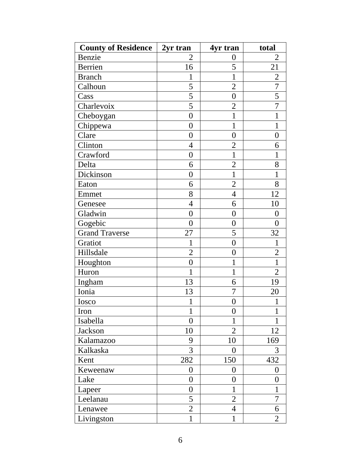| <b>County of Residence</b> | 2yr tran         | 4yr tran         | total            |
|----------------------------|------------------|------------------|------------------|
| Benzie                     | 2                | 0                | 2                |
| Berrien                    | 16               | 5                | 21               |
| <b>Branch</b>              | $\mathbf{1}$     | $\mathbf{1}$     | $\overline{2}$   |
| Calhoun                    | 5                | $\overline{2}$   | $\overline{7}$   |
| Cass                       | $\overline{5}$   | $\boldsymbol{0}$ | 5                |
| Charlevoix                 | $\overline{5}$   | $\overline{2}$   | $\overline{7}$   |
| Cheboygan                  | $\boldsymbol{0}$ | $\mathbf{1}$     | $\mathbf{1}$     |
| Chippewa                   | $\overline{0}$   | $\mathbf{1}$     | $\mathbf{1}$     |
| Clare                      | $\overline{0}$   | $\overline{0}$   | $\boldsymbol{0}$ |
| Clinton                    | $\overline{4}$   | $\overline{2}$   | 6                |
| Crawford                   | $\boldsymbol{0}$ | $\mathbf{1}$     | $\mathbf{1}$     |
| Delta                      | 6                | $\overline{2}$   | 8                |
| Dickinson                  | $\overline{0}$   | $\mathbf{1}$     | 1                |
| Eaton                      | 6                | $\overline{2}$   | 8                |
| Emmet                      | 8                | 4                | 12               |
| Genesee                    | $\overline{4}$   | 6                | 10               |
| Gladwin                    | $\overline{0}$   | $\overline{0}$   | $\overline{0}$   |
| Gogebic                    | $\overline{0}$   | $\boldsymbol{0}$ | $\boldsymbol{0}$ |
| <b>Grand Traverse</b>      | 27               | 5                | 32               |
| Gratiot                    | $\mathbf{1}$     | $\boldsymbol{0}$ | $\mathbf{1}$     |
| Hillsdale                  | $\overline{2}$   | $\boldsymbol{0}$ | $\overline{2}$   |
| Houghton                   | $\boldsymbol{0}$ | 1                | $\mathbf{1}$     |
| Huron                      | 1                | $\mathbf{1}$     | $\overline{2}$   |
| Ingham                     | 13               | 6                | 19               |
| Ionia                      | 13               | 7                | 20               |
| Iosco                      | $\mathbf{1}$     | $\overline{0}$   | $\mathbf{1}$     |
| Iron                       | 1                | $\boldsymbol{0}$ | 1                |
| Isabella                   | $\overline{0}$   | 1                | 1                |
| Jackson                    | 10               | $\overline{2}$   | 12               |
| Kalamazoo                  | 9                | 10               | 169              |
| Kalkaska                   | 3                | 0                | 3                |
| Kent                       | 282              | 150              | 432              |
| Keweenaw                   | $\overline{0}$   | $\boldsymbol{0}$ | $\boldsymbol{0}$ |
| Lake                       | $\overline{0}$   | $\overline{0}$   | $\overline{0}$   |
| Lapeer                     | $\overline{0}$   | 1                | 1                |
| Leelanau                   | 5                | $\overline{2}$   | 7                |
| Lenawee                    | $\overline{2}$   | 4                | 6                |
| Livingston                 | $\mathbf{1}$     | $\mathbf{1}$     | $\overline{2}$   |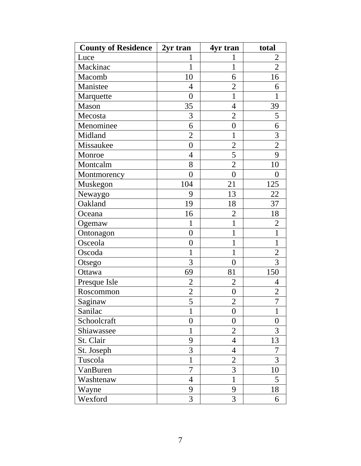| <b>County of Residence</b> | 2yr tran         | 4yr tran         | total          |
|----------------------------|------------------|------------------|----------------|
| Luce                       |                  |                  | 2              |
| Mackinac                   | 1                | $\mathbf{1}$     | $\overline{2}$ |
| Macomb                     | 10               | 6                | 16             |
| Manistee                   | $\overline{4}$   | $\overline{2}$   | 6              |
| Marquette                  | $\overline{0}$   | $\mathbf{1}$     | 1              |
| Mason                      | 35               | $\overline{4}$   | 39             |
| Mecosta                    | 3                | $\overline{2}$   | 5              |
| Menominee                  | 6                | $\boldsymbol{0}$ | 6              |
| Midland                    | $\overline{2}$   | 1                | 3              |
| Missaukee                  | $\overline{0}$   | $\overline{2}$   | $\overline{2}$ |
| Monroe                     | $\overline{4}$   | 5                | 9              |
| Montcalm                   | 8                | $\overline{2}$   | 10             |
| Montmorency                | $\overline{0}$   | $\boldsymbol{0}$ | 0              |
| Muskegon                   | 104              | 21               | 125            |
| Newaygo                    | 9                | 13               | 22             |
| Oakland                    | 19               | 18               | 37             |
| Oceana                     | 16               | $\overline{2}$   | 18             |
| Ogemaw                     | 1                | $\mathbf{1}$     | $\overline{2}$ |
| Ontonagon                  | $\boldsymbol{0}$ | 1                | $\mathbf{1}$   |
| Osceola                    | $\overline{0}$   | 1                | $\mathbf{1}$   |
| Oscoda                     | $\mathbf{1}$     | $\mathbf{1}$     | $\overline{2}$ |
| Otsego                     | 3                | $\overline{0}$   | 3              |
| Ottawa                     | 69               | 81               | 150            |
| Presque Isle               | $\overline{c}$   | $\overline{c}$   | 4              |
| Roscommon                  | $\overline{c}$   | $\boldsymbol{0}$ | $\overline{c}$ |
| Saginaw                    | 5                | $\overline{2}$   | $\overline{7}$ |
| Sanilac                    | 1                | 0                | 1              |
| Schoolcraft                | $\overline{0}$   | 0                | 0              |
| Shiawassee                 | $\mathbf{1}$     | $\overline{2}$   | 3              |
| St. Clair                  | 9                | $\overline{4}$   | 13             |
| St. Joseph                 | 3                | $\overline{4}$   | 7              |
| Tuscola                    | 1                | $\overline{2}$   | 3              |
| VanBuren                   | $\overline{7}$   | 3                | 10             |
| Washtenaw                  | $\overline{4}$   | $\mathbf{1}$     | 5              |
| Wayne                      | 9                | 9                | 18             |
| Wexford                    | 3                | 3                | 6              |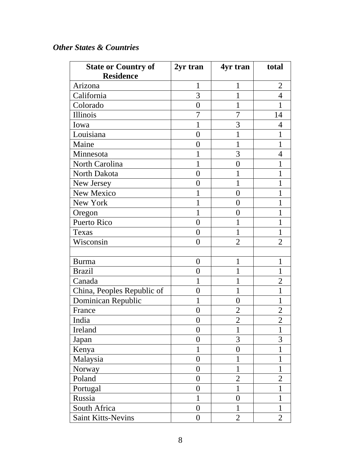#### *Other States & Countries*

| <b>State or Country of</b> | 2yr tran       | 4yr tran         | total          |
|----------------------------|----------------|------------------|----------------|
| <b>Residence</b>           |                |                  |                |
| Arizona                    | 1              | 1                | $\overline{2}$ |
| California                 | $\overline{3}$ | $\mathbf{1}$     | $\overline{4}$ |
| Colorado                   | $\overline{0}$ | 1                |                |
| Illinois                   | 7              | 7                | 14             |
| Iowa                       |                | 3                | 4              |
| Louisiana                  | $\overline{0}$ | 1                |                |
| Maine                      | $\overline{0}$ | $\mathbf{1}$     | 1              |
| Minnesota                  |                | 3                | $\overline{4}$ |
| North Carolina             | 1              | $\overline{0}$   |                |
| North Dakota               | $\overline{0}$ | 1                | 1              |
| New Jersey                 | $\theta$       | 1                |                |
| New Mexico                 | 1              | 0                |                |
| New York                   | 1              | 0                |                |
| Oregon                     | 1              | 0                |                |
| <b>Puerto Rico</b>         | $\overline{0}$ | 1                | 1              |
| Texas                      | $\overline{0}$ | 1                | 1              |
| Wisconsin                  | $\overline{0}$ | $\overline{2}$   | $\overline{2}$ |
|                            |                |                  |                |
| <b>Burma</b>               | $\overline{0}$ | 1                | 1              |
| <b>Brazil</b>              | $\overline{0}$ | 1                | 1              |
| Canada                     | 1              | 1                | $\overline{2}$ |
| China, Peoples Republic of | $\overline{0}$ | $\mathbf{1}$     | 1              |
| Dominican Republic         | 1              | $\overline{0}$   | $\mathbf 1$    |
| France                     | $\overline{0}$ | $\overline{2}$   | $\overline{2}$ |
| India                      | 0              | $\overline{2}$   | $\overline{2}$ |
| Ireland                    | $\overline{0}$ | $\mathbf{1}$     | 1              |
| Japan                      | $\overline{0}$ | 3                | 3              |
| Kenya                      | $\mathbf{1}$   | $\boldsymbol{0}$ | 1              |
| Malaysia                   | $\overline{0}$ | 1                | 1              |
| Norway                     | $\overline{0}$ | $\mathbf{1}$     | $\mathbf{1}$   |
| Poland                     | $\overline{0}$ | $\overline{2}$   | $\overline{2}$ |
| Portugal                   | $\overline{0}$ | $\mathbf{1}$     | 1              |
| Russia                     | $\mathbf{1}$   | $\overline{0}$   | 1              |
| South Africa               | $\overline{0}$ | $\mathbf{1}$     | $\mathbf{1}$   |
| <b>Saint Kitts-Nevins</b>  | $\overline{0}$ | $\overline{2}$   | $\overline{2}$ |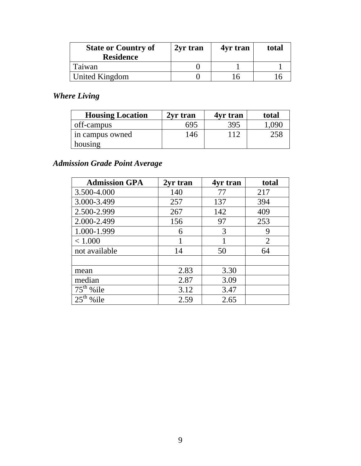| <b>State or Country of</b><br><b>Residence</b> | 2yr tran | 4yr tran | total |
|------------------------------------------------|----------|----------|-------|
| Taiwan                                         |          |          |       |
| United Kingdom                                 |          |          |       |

# *Where Living*

| <b>Housing Location</b> | 2yr tran | 4yr tran | total |
|-------------------------|----------|----------|-------|
| off-campus              | 695      | 395      | .090  |
| in campus owned         | 146      | 112      | 258   |
| housing                 |          |          |       |

# *Admission Grade Point Average*

| <b>Admission GPA</b> | 2yr tran | 4yr tran | total          |
|----------------------|----------|----------|----------------|
| 3.500-4.000          | 140      | 77       | 217            |
| 3.000-3.499          | 257      | 137      | 394            |
| 2.500-2.999          | 267      | 142      | 409            |
| 2.000-2.499          | 156      | 97       | 253            |
| 1.000-1.999          | 6        | 3        | 9              |
| < 1.000              |          |          | $\overline{2}$ |
| not available        | 14       | 50       | 64             |
|                      |          |          |                |
| mean                 | 2.83     | 3.30     |                |
| median               | 2.87     | 3.09     |                |
| $75th$ % ile         | 3.12     | 3.47     |                |
| %ile                 | 2.59     | 2.65     |                |